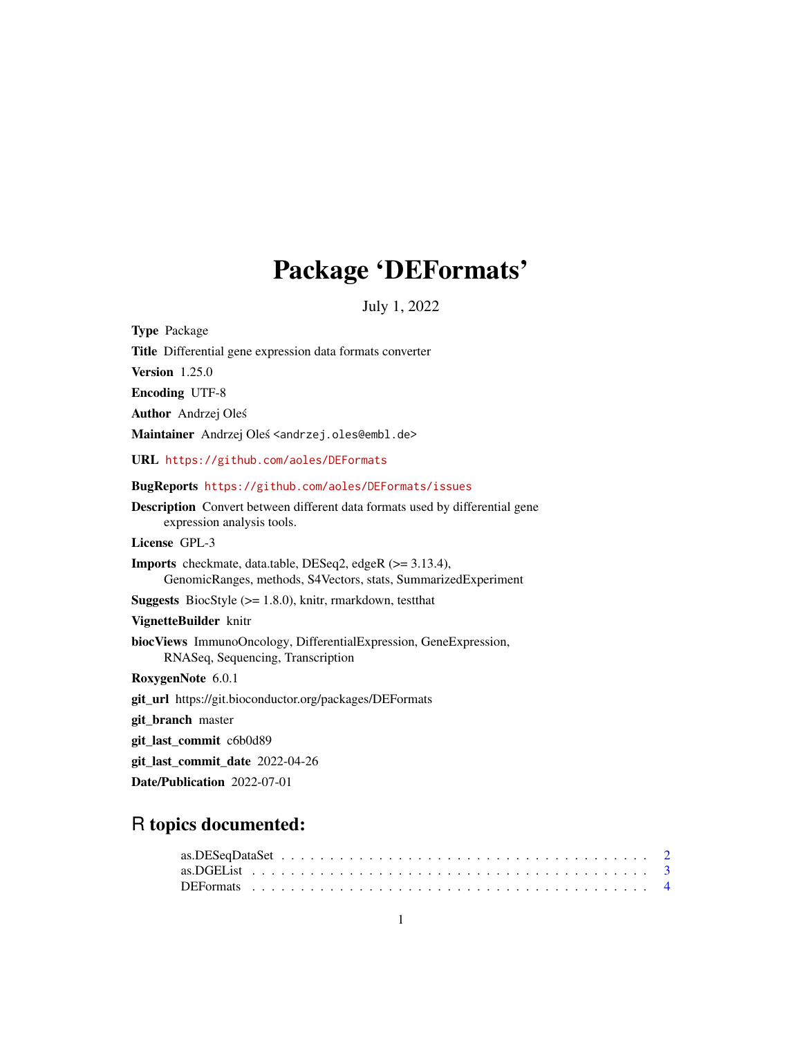# Package 'DEFormats'

July 1, 2022

<span id="page-0-0"></span>

| <b>Type Package</b>                                                                                                         |
|-----------------------------------------------------------------------------------------------------------------------------|
| Title Differential gene expression data formats converter                                                                   |
| <b>Version</b> 1.25.0                                                                                                       |
| <b>Encoding UTF-8</b>                                                                                                       |
| <b>Author</b> Andrzej Oleś                                                                                                  |
| Maintainer Andrzej Oleś <andrzej.oles@embl.de></andrzej.oles@embl.de>                                                       |
| URL https://github.com/aoles/DEFormats                                                                                      |
| <b>BugReports https://github.com/aoles/DEFormats/issues</b>                                                                 |
| <b>Description</b> Convert between different data formats used by differential gene<br>expression analysis tools.           |
| License GPL-3                                                                                                               |
| Imports checkmate, data.table, DESeq2, edgeR (>= 3.13.4),<br>GenomicRanges, methods, S4Vectors, stats, SummarizedExperiment |
| <b>Suggests</b> BiocStyle ( $> = 1.8.0$ ), knitr, rmarkdown, test that                                                      |
| VignetteBuilder knitr                                                                                                       |
| biocViews ImmunoOncology, DifferentialExpression, GeneExpression,<br>RNASeq, Sequencing, Transcription                      |
| RoxygenNote 6.0.1                                                                                                           |
| <b>git_url</b> https://git.bioconductor.org/packages/DEFormats                                                              |
| git_branch master                                                                                                           |
| git_last_commit c6b0d89                                                                                                     |
| git_last_commit_date 2022-04-26                                                                                             |
| Date/Publication 2022-07-01                                                                                                 |

# R topics documented: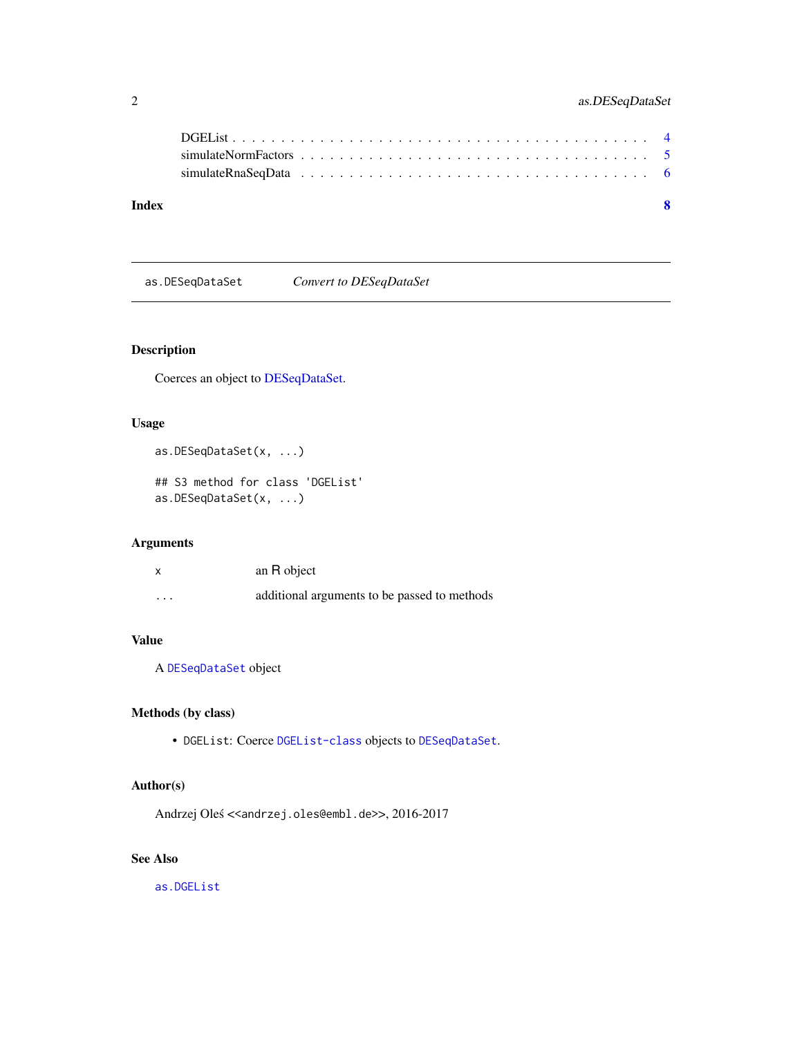# <span id="page-1-0"></span>2 as.DESeqDataSet

| Index | $\mathbf{R}$ |
|-------|--------------|
|       |              |
|       |              |
|       |              |

<span id="page-1-1"></span>as.DESeqDataSet *Convert to DESeqDataSet*

# Description

Coerces an object to [DESeqDataSet.](#page-0-0)

# Usage

as.DESeqDataSet(x, ...)

## S3 method for class 'DGEList' as.DESeqDataSet(x, ...)

# Arguments

| $\boldsymbol{\mathsf{x}}$ | an R object                                  |
|---------------------------|----------------------------------------------|
| $\cdot$ $\cdot$ $\cdot$   | additional arguments to be passed to methods |

# Value

A [DESeqDataSet](#page-0-0) object

# Methods (by class)

• DGEList: Coerce [DGEList-class](#page-0-0) objects to [DESeqDataSet](#page-0-0).

# Author(s)

Andrzej Oleś << andrzej.oles@embl.de>>, 2016-2017

# See Also

[as.DGEList](#page-2-1)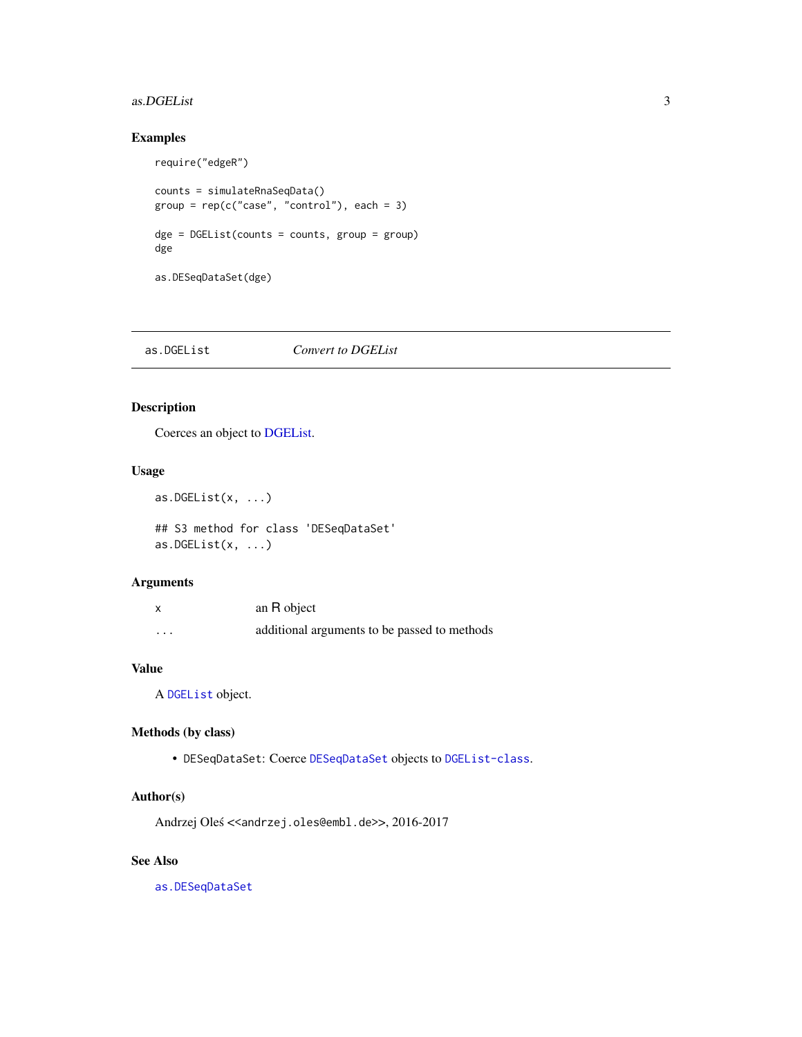#### <span id="page-2-0"></span>as.DGEList 3

# Examples

require("edgeR")

```
counts = simulateRnaSeqData()
group = rep(c("case", "control"), each = 3)\text{dge} = \text{DGEList}(\text{counts} = \text{counts}, \text{group} = \text{group})dge
as.DESeqDataSet(dge)
```
<span id="page-2-1"></span>as.DGEList *Convert to DGEList*

# Description

Coerces an object to [DGEList.](#page-0-0)

# Usage

```
as.DGEList(x, \ldots)
```
## S3 method for class 'DESeqDataSet' as.DGEList $(x, \ldots)$ 

# Arguments

| x       | an R object                                  |
|---------|----------------------------------------------|
| $\cdot$ | additional arguments to be passed to methods |

#### Value

A [DGEList](#page-0-0) object.

#### Methods (by class)

• DESeqDataSet: Coerce [DESeqDataSet](#page-0-0) objects to [DGEList-class](#page-0-0).

#### Author(s)

Andrzej Oleś <<andrzej.oles@embl.de>>, 2016-2017

#### See Also

[as.DESeqDataSet](#page-1-1)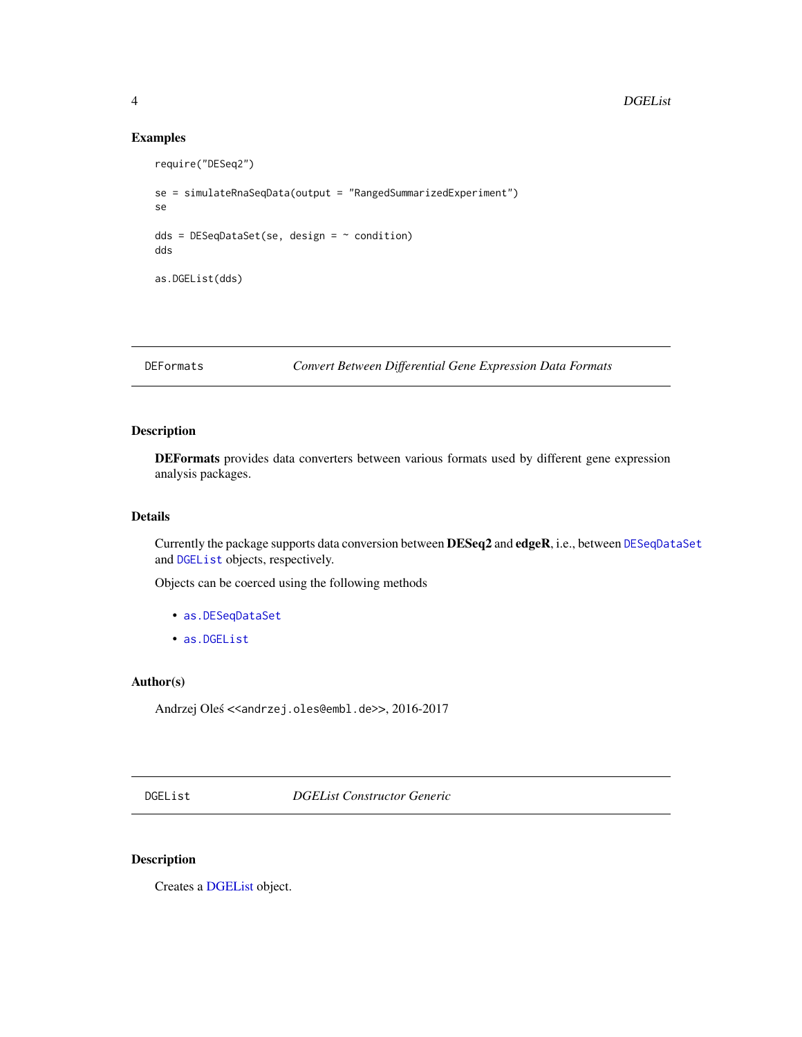# Examples

```
require("DESeq2")
se = simulateRnaSeqData(output = "RangedSummarizedExperiment")
se
dds = DESeqDataSet(se, design = ~ condition)dds
as.DGEList(dds)
```
DEFormats *Convert Between Differential Gene Expression Data Formats*

# Description

DEFormats provides data converters between various formats used by different gene expression analysis packages.

# Details

Currently the package supports data conversion between DESeq2 and edgeR, i.e., between [DESeqDataSet](#page-0-0) and [DGEList](#page-0-0) objects, respectively.

Objects can be coerced using the following methods

- [as.DESeqDataSet](#page-1-1)
- [as.DGEList](#page-2-1)

#### Author(s)

Andrzej Oleś <<andrzej.oles@embl.de>>, 2016-2017

DGEList *DGEList Constructor Generic*

# Description

Creates a [DGEList](#page-0-0) object.

<span id="page-3-0"></span>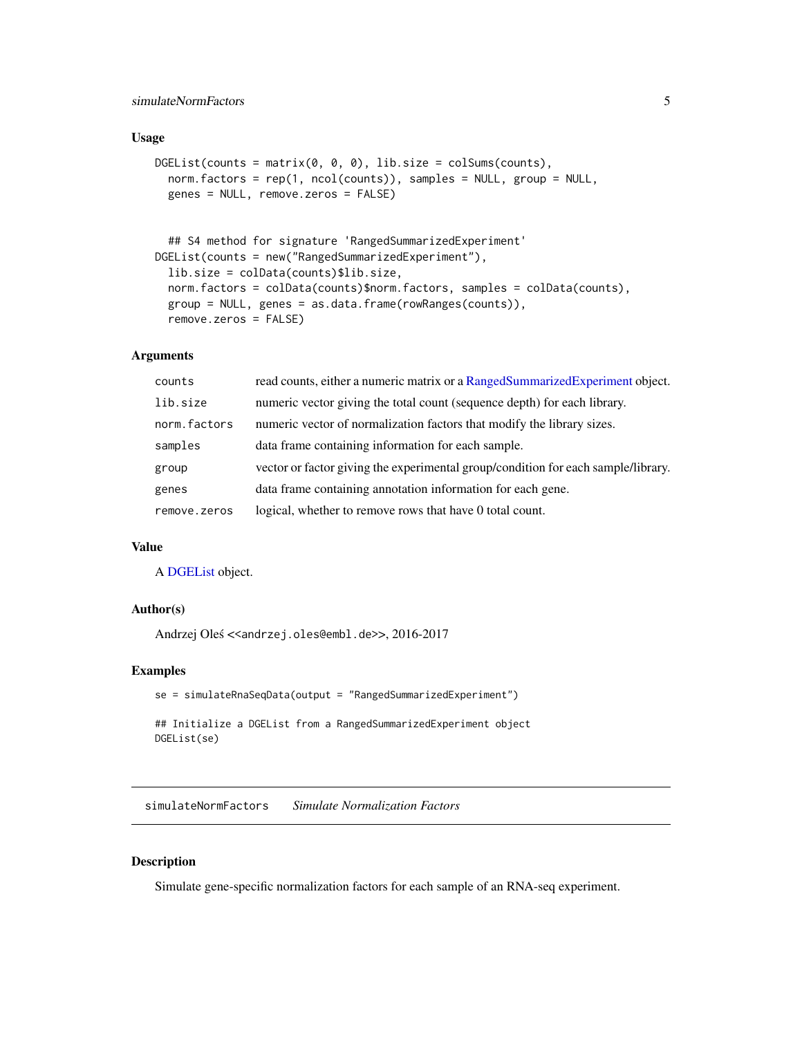# <span id="page-4-0"></span>simulateNormFactors 5

#### Usage

```
DGEList(counts = matrix(0, 0, 0), lib.size = colSums(counts),norm.factors = rep(1, ncol(counts)), samples = NULL, group = NULL,
  genes = NULL, remove.zeros = FALSE)
  ## S4 method for signature 'RangedSummarizedExperiment'
DGEList(counts = new("RangedSummarizedExperiment"),
  lib.size = colData(counts)$lib.size,
  norm.factors = colData(counts)$norm.factors, samples = colData(counts),
```
group = NULL, genes = as.data.frame(rowRanges(counts)),

#### **Arguments**

remove.zeros = FALSE)

| counts       | read counts, either a numeric matrix or a RangedSummarizedExperiment object.      |
|--------------|-----------------------------------------------------------------------------------|
| lib.size     | numeric vector giving the total count (sequence depth) for each library.          |
| norm.factors | numeric vector of normalization factors that modify the library sizes.            |
| samples      | data frame containing information for each sample.                                |
| group        | vector or factor giving the experimental group/condition for each sample/library. |
| genes        | data frame containing annotation information for each gene.                       |
| remove.zeros | logical, whether to remove rows that have 0 total count.                          |

# Value

A [DGEList](#page-0-0) object.

### Author(s)

Andrzej Oleś <<andrzej.oles@embl.de>>, 2016-2017

#### Examples

```
se = simulateRnaSeqData(output = "RangedSummarizedExperiment")
## Initialize a DGEList from a RangedSummarizedExperiment object
DGEList(se)
```
simulateNormFactors *Simulate Normalization Factors*

#### Description

Simulate gene-specific normalization factors for each sample of an RNA-seq experiment.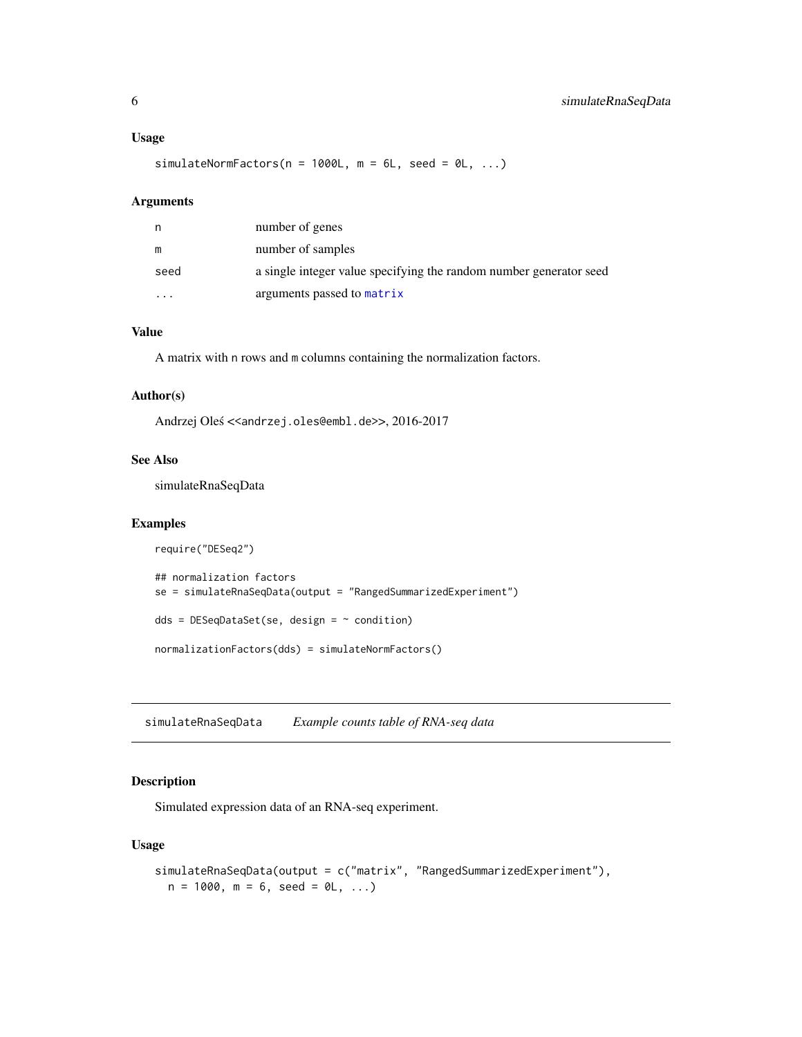#### <span id="page-5-0"></span>Usage

simulateNormFactors( $n = 1000L$ ,  $m = 6L$ , seed = 0L, ...)

#### Arguments

| n    | number of genes                                                    |
|------|--------------------------------------------------------------------|
| m    | number of samples                                                  |
| seed | a single integer value specifying the random number generator seed |
| .    | arguments passed to matrix                                         |

# Value

A matrix with n rows and m columns containing the normalization factors.

# Author(s)

Andrzej Oleś <<andrzej.oles@embl.de>>, 2016-2017

# See Also

simulateRnaSeqData

#### Examples

```
require("DESeq2")
## normalization factors
se = simulateRnaSeqData(output = "RangedSummarizedExperiment")
dds = DESeqDataSet(se, design = ~ condition)normalizationFactors(dds) = simulateNormFactors()
```
simulateRnaSeqData *Example counts table of RNA-seq data*

# Description

Simulated expression data of an RNA-seq experiment.

# Usage

```
simulateRnaSeqData(output = c("matrix", "RangedSummarizedExperiment"),
 n = 1000, m = 6, seed = 0L, ...)
```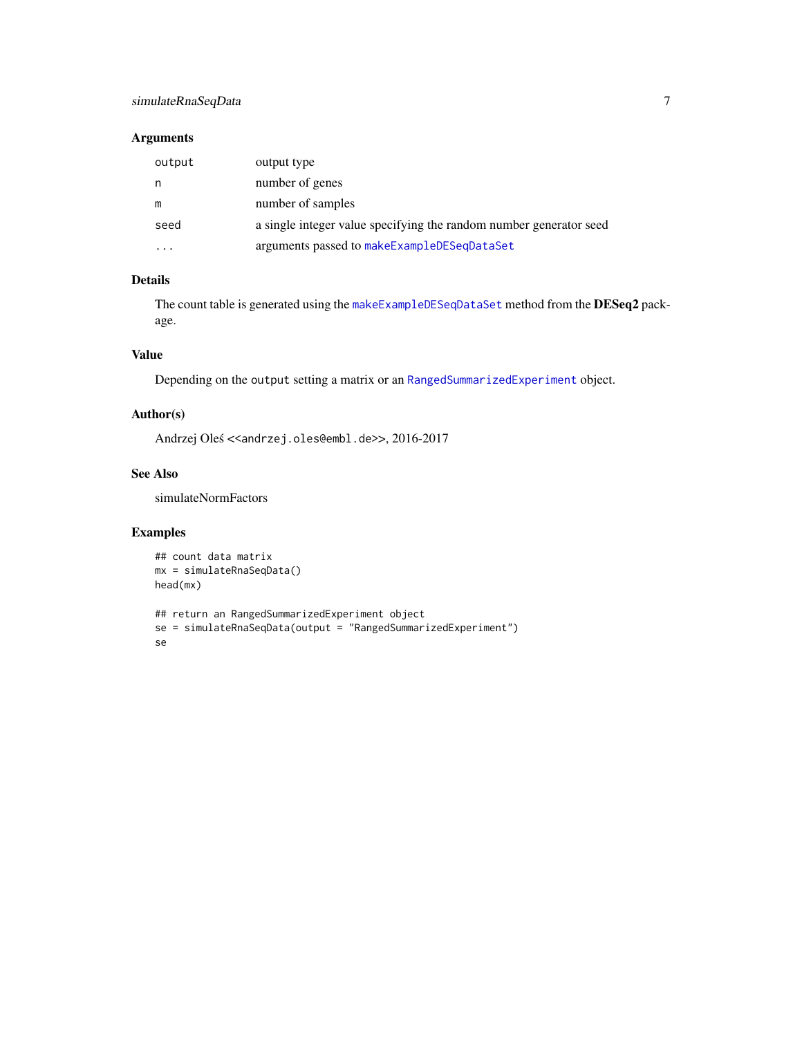# <span id="page-6-0"></span>simulateRnaSeqData 7

# Arguments

| output | output type                                                        |
|--------|--------------------------------------------------------------------|
| n      | number of genes                                                    |
| m      | number of samples                                                  |
| seed   | a single integer value specifying the random number generator seed |
|        | arguments passed to makeExampleDESeqDataSet                        |

# Details

The count table is generated using the [makeExampleDESeqDataSet](#page-0-0) method from the DESeq2 package.

# Value

Depending on the output setting a matrix or an [RangedSummarizedExperiment](#page-0-0) object.

#### Author(s)

Andrzej Oleś << andrzej.oles@embl.de>>, 2016-2017

#### See Also

simulateNormFactors

# Examples

```
## count data matrix
mx = simulateRnaSeqData()
head(mx)
```

```
## return an RangedSummarizedExperiment object
se = simulateRnaSeqData(output = "RangedSummarizedExperiment")
se
```